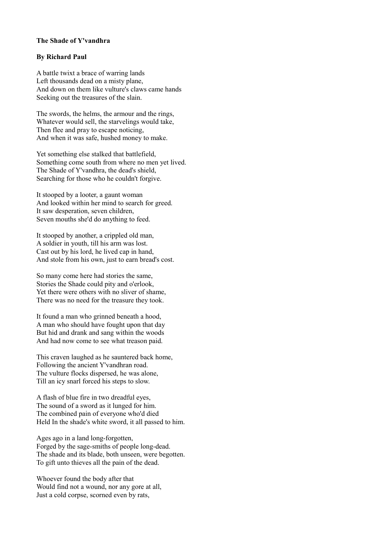## **The Shade of Y'vandhra**

## **By Richard Paul**

A battle twixt a brace of warring lands Left thousands dead on a misty plane, And down on them like vulture's claws came hands Seeking out the treasures of the slain.

The swords, the helms, the armour and the rings, Whatever would sell, the starvelings would take, Then flee and pray to escape noticing, And when it was safe, hushed money to make.

Yet something else stalked that battlefield, Something come south from where no men yet lived. The Shade of Y'vandhra, the dead's shield, Searching for those who he couldn't forgive.

It stooped by a looter, a gaunt woman And looked within her mind to search for greed. It saw desperation, seven children, Seven mouths she'd do anything to feed.

It stooped by another, a crippled old man, A soldier in youth, till his arm was lost. Cast out by his lord, he lived cap in hand, And stole from his own, just to earn bread's cost.

So many come here had stories the same, Stories the Shade could pity and o'erlook, Yet there were others with no sliver of shame, There was no need for the treasure they took.

It found a man who grinned beneath a hood, A man who should have fought upon that day But hid and drank and sang within the woods And had now come to see what treason paid.

This craven laughed as he sauntered back home, Following the ancient Y'vandhran road. The vulture flocks dispersed, he was alone, Till an icy snarl forced his steps to slow.

A flash of blue fire in two dreadful eyes, The sound of a sword as it lunged for him. The combined pain of everyone who'd died Held In the shade's white sword, it all passed to him.

Ages ago in a land long-forgotten, Forged by the sage-smiths of people long-dead. The shade and its blade, both unseen, were begotten. To gift unto thieves all the pain of the dead.

Whoever found the body after that Would find not a wound, nor any gore at all, Just a cold corpse, scorned even by rats,